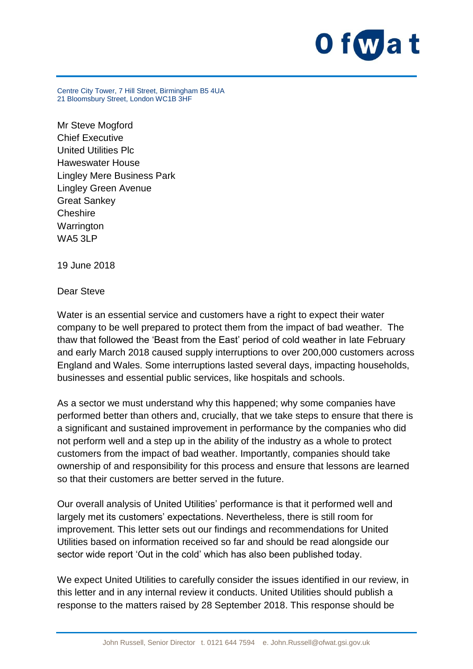

Centre City Tower, 7 Hill Street, Birmingham B5 4UA 21 Bloomsbury Street, London WC1B 3HF

Mr Steve Mogford Chief Executive United Utilities Plc Haweswater House Lingley Mere Business Park Lingley Green Avenue Great Sankey **Cheshire Warrington** WA5 3LP

19 June 2018

Dear Steve

Water is an essential service and customers have a right to expect their water company to be well prepared to protect them from the impact of bad weather. The thaw that followed the 'Beast from the East' period of cold weather in late February and early March 2018 caused supply interruptions to over 200,000 customers across England and Wales. Some interruptions lasted several days, impacting households, businesses and essential public services, like hospitals and schools.

As a sector we must understand why this happened; why some companies have performed better than others and, crucially, that we take steps to ensure that there is a significant and sustained improvement in performance by the companies who did not perform well and a step up in the ability of the industry as a whole to protect customers from the impact of bad weather. Importantly, companies should take ownership of and responsibility for this process and ensure that lessons are learned so that their customers are better served in the future.

Our overall analysis of United Utilities' performance is that it performed well and largely met its customers' expectations. Nevertheless, there is still room for improvement. This letter sets out our findings and recommendations for United Utilities based on information received so far and should be read alongside our sector wide report 'Out in the cold' which has also been published today.

We expect United Utilities to carefully consider the issues identified in our review, in this letter and in any internal review it conducts. United Utilities should publish a response to the matters raised by 28 September 2018. This response should be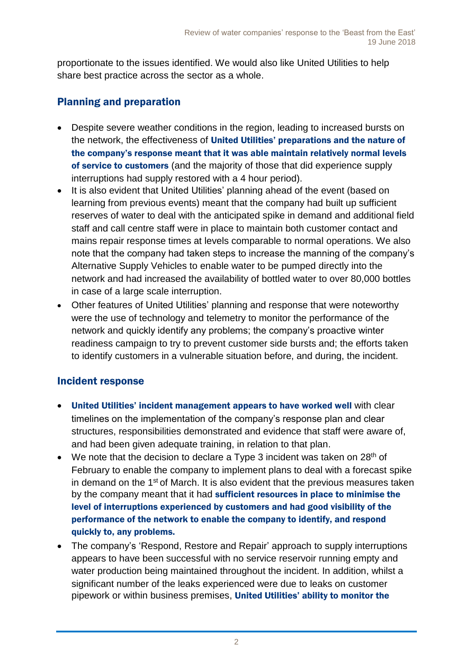proportionate to the issues identified. We would also like United Utilities to help share best practice across the sector as a whole.

## Planning and preparation

- Despite severe weather conditions in the region, leading to increased bursts on the network, the effectiveness of United Utilities' preparations and the nature of the company's response meant that it was able maintain relatively normal levels of service to customers (and the majority of those that did experience supply interruptions had supply restored with a 4 hour period).
- It is also evident that United Utilities' planning ahead of the event (based on learning from previous events) meant that the company had built up sufficient reserves of water to deal with the anticipated spike in demand and additional field staff and call centre staff were in place to maintain both customer contact and mains repair response times at levels comparable to normal operations. We also note that the company had taken steps to increase the manning of the company's Alternative Supply Vehicles to enable water to be pumped directly into the network and had increased the availability of bottled water to over 80,000 bottles in case of a large scale interruption.
- Other features of United Utilities' planning and response that were noteworthy were the use of technology and telemetry to monitor the performance of the network and quickly identify any problems; the company's proactive winter readiness campaign to try to prevent customer side bursts and; the efforts taken to identify customers in a vulnerable situation before, and during, the incident.

## Incident response

- United Utilities' incident management appears to have worked well with clear timelines on the implementation of the company's response plan and clear structures, responsibilities demonstrated and evidence that staff were aware of, and had been given adequate training, in relation to that plan.
- $\bullet$  We note that the decision to declare a Type 3 incident was taken on 28<sup>th</sup> of February to enable the company to implement plans to deal with a forecast spike in demand on the 1<sup>st</sup> of March. It is also evident that the previous measures taken by the company meant that it had sufficient resources in place to minimise the level of interruptions experienced by customers and had good visibility of the performance of the network to enable the company to identify, and respond quickly to, any problems.
- The company's 'Respond, Restore and Repair' approach to supply interruptions appears to have been successful with no service reservoir running empty and water production being maintained throughout the incident. In addition, whilst a significant number of the leaks experienced were due to leaks on customer pipework or within business premises, United Utilities' ability to monitor the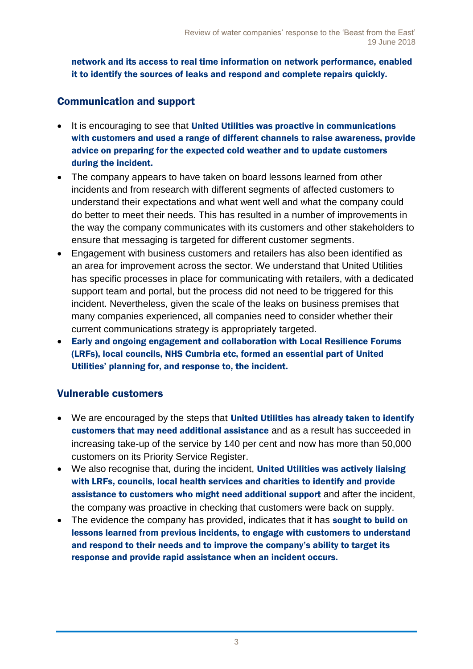network and its access to real time information on network performance, enabled it to identify the sources of leaks and respond and complete repairs quickly.

## Communication and support

- It is encouraging to see that United Utilities was proactive in communications with customers and used a range of different channels to raise awareness, provide advice on preparing for the expected cold weather and to update customers during the incident.
- The company appears to have taken on board lessons learned from other incidents and from research with different segments of affected customers to understand their expectations and what went well and what the company could do better to meet their needs. This has resulted in a number of improvements in the way the company communicates with its customers and other stakeholders to ensure that messaging is targeted for different customer segments.
- Engagement with business customers and retailers has also been identified as an area for improvement across the sector. We understand that United Utilities has specific processes in place for communicating with retailers, with a dedicated support team and portal, but the process did not need to be triggered for this incident. Nevertheless, given the scale of the leaks on business premises that many companies experienced, all companies need to consider whether their current communications strategy is appropriately targeted.
- Early and ongoing engagement and collaboration with Local Resilience Forums (LRFs), local councils, NHS Cumbria etc, formed an essential part of United Utilities' planning for, and response to, the incident.

## Vulnerable customers

- We are encouraged by the steps that United Utilities has already taken to identify customers that may need additional assistance and as a result has succeeded in increasing take-up of the service by 140 per cent and now has more than 50,000 customers on its Priority Service Register.
- We also recognise that, during the incident, United Utilities was actively liaising with LRFs, councils, local health services and charities to identify and provide assistance to customers who might need additional support and after the incident, the company was proactive in checking that customers were back on supply.
- The evidence the company has provided, indicates that it has sought to build on lessons learned from previous incidents, to engage with customers to understand and respond to their needs and to improve the company's ability to target its response and provide rapid assistance when an incident occurs.